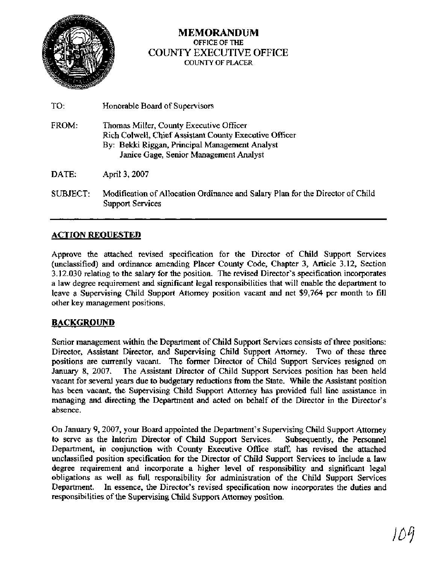

## **MEMORANDUM OFFICE OF THE**  COUNTY EXECUTIVE OFFICE **COUNTY OF PLACER**

| TO:      | Honorable Board of Supervisors                                                                                                                                                                |
|----------|-----------------------------------------------------------------------------------------------------------------------------------------------------------------------------------------------|
| FROM:    | Thomas Miller, County Executive Officer<br>Rich Colwell, Chief Assistant County Executive Officer<br>By: Bekki Riggan, Principal Management Analyst<br>Janice Gage, Senior Management Analyst |
| DATE:    | April 3, 2007                                                                                                                                                                                 |
| SUBJECT: | Modification of Allocation Ordinance and Salary Plan for the Director of Child<br><b>Support Services</b>                                                                                     |

## **ACTION REOUESTED**

Approve the attached revised specification for the Director of Child Support Services (unclassified) and ordinance amending Placer County Code, Chapter 3, Article 3.12, Section 3.12.030 relating to the salary for the position. The revised Director's specification incorporates a law degree requirement and significant legal responsibilities that will enable the department to leave a Supervising Child Support Attorney position vacant and net \$9,764 per month to fill other key management positions.

## **BACKGROUND**

Senior management within the Department of Child Support Services consists of three positions: Director, Assistant Director, and Supervising Child Support Attorney. Two of these three positions are currently vacant. The former Director of Child Support Services resigned on January 8, 2007. The Assistant Director of Child Support Services position has been held vacant for several years due to budgetary reductions from the State. While the Assistant position has been vacant, the Supervising Child Support Attorney has provided full line assistance in managing and directing the Department and acted on behalf of the Director in the Director's absence.

On January 9,2007, your Board appointed the Department's Supervising Child Support Attorney to serve as the Interim Director of Child Support Services. Subsequently, the Personnel Department, in conjunction with County Executive Office staff, has revised the attached unclassified position specification for the Director of Child Support Services to include a law degree requirement and incorporate a higher level of responsibility and significant legal obligations as well as full responsibility for administration of the Child Support Services Department. In essence, the Director's revised specification now incorporates the duties and responsibilities of the Supervising Child Support Attorney position.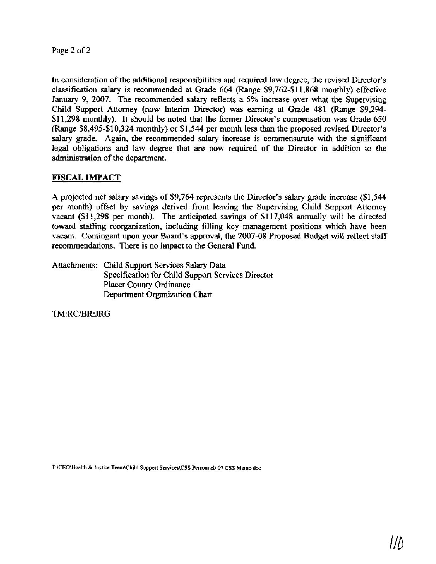Page 2 of 2

In consideration of the additional responsibilities and required law degree, the revised Director's classification salary is recommended at Grade 664 (Range \$9,762-\$11,868 monthly) effective January 9, 2007. The recommended salary reflects a 5% increase over what the Supervising Child Support Attorney (now Interim Director) was earning at Grade 481 (Range \$9,294- \$11,298 monthly). It should be noted that the former Director's compensation was Grade 650 (Range \$8,495-\$10,324 monthly) or \$1,544 per month less than the proposed revised Director's salary grade. Again, the recommended salary increase is commensurate with the significant legal obligations and law degree that are now required of the Director in addition to the administration of the department.

#### **FISCAL IMPACT**

A projected net salary savings of \$9,764 represents the Director's salary grade increase (\$1,544 per month) offset by savings derived from leaving the Supervising Child Support Attorney vacant (\$1 1,298 per month). The anticipated savings of \$1 17,048 annually will be directed toward staffing reorganization, including filling key management positions which have been vacant. Contingent upon your Board's approval, the 2007-08 Proposed Budget will reflect staff recommendations. There is no impact to the General Fund.

Attachments: Child Support Services Salary Data Specification for Child Support Services Director Placer County Ordinance Department Organization Chart

TM:RC/BR:JRG

**T:\CEO\Health** & **Justice Team\Child Support Services\CSS Perso~el\.07 CSS Memo.doc**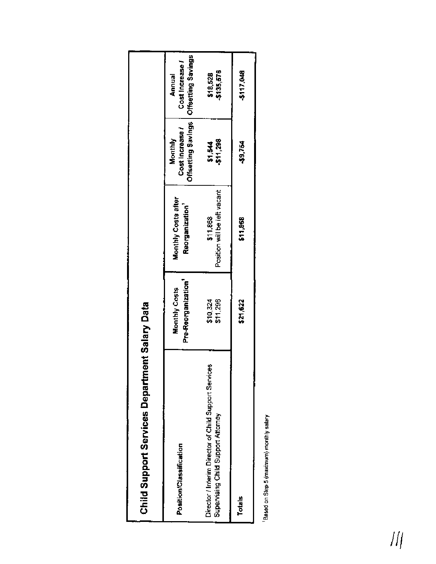| <b>Child Support Services Departme</b>                                                           | ent Salary Data                      |                                          |                           |                                                                    |
|--------------------------------------------------------------------------------------------------|--------------------------------------|------------------------------------------|---------------------------|--------------------------------------------------------------------|
| Position/Classification                                                                          | Pre-Reorganization'<br>Monthly Costs | Monthly Costs after<br>Reorganization'   | Cost Increase?<br>Monthly | Offsetting Savings   Offsetting Savings<br>Cost Increase<br>Annual |
| a,<br>Director / Interim Director of Child Support Service<br>Supervising Child Support Attorney | \$11,298<br>\$10,324                 | Position will be left vacant<br>\$11,868 | \$1,544<br>\$11,298       | \$135,576<br>\$18,528                                              |
| <b>Totals</b>                                                                                    | \$21,622                             | \$11,868                                 | またのや                      | \$117,048                                                          |
|                                                                                                  |                                      |                                          |                           |                                                                    |

Pased on Step 5 (maximum) monthly salary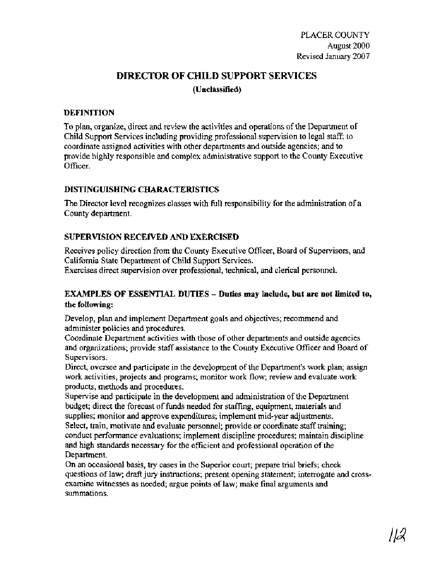## **DIRECTOR OF CHILD SUPPORT SERVICES (Unclassified)**

#### **DEFINITION**

To plan, organize, direct and review the activities and operations of the Department of Child Support Services including providing professional supervision to legal staff; to coordinate assigned activities with other departments and outside agencies; and to provide highly responsible and complex administrative support to the County Executive Officer.

#### **DISTINGUISHING CHARACTERISTICS**

The Director level recognizes classes with full responsibility for the administration of a County department.

### **SUPERVISION RECEIVED AND EXERCISED**

Receives policy direction from the County Executive Officer, Board of Supervisors, and California State Department of Child Support Services. Exercises direct supervision over professional, technical, and clerical personnel.

## **EXAMPLES OF ESSENTIAL DUTIES** - **Duties may include, but are not limited to, the following:**

Develop, plan and implement Department goals and objectives; recommend and administer policies and procedures.

Coordinate Department activities with those of other departments and outside agencies and organizations; provide staff assistance to the County Executive Officer and Board of Supervisors.

Direct, oversee and participate in the development of the Department's work plan; assign work activities, projects and programs; monitor work flow; review and evaluate work products, methods and procedures.

Supervise and participate in the development and administration of the Department budget; direct the forecast of funds needed for staffing, equipment, materials and supplies; monitor and approve expenditures; implement mid-year adjustments. Select, train, motivate and evaluate personnel; provide or coordinate staff training; conduct performance evaluations; implement discipline procedures; maintain discipline and high standards necessary for the efficient and professional operation of the Department.

On an occasional basis, try cases in the Superior court; prepare trial briefs; check questions of law; **draft** jury instructions; present opening statement; interrogate and crossexamine witnesses as needed; argue points of law; make final arguments and summations.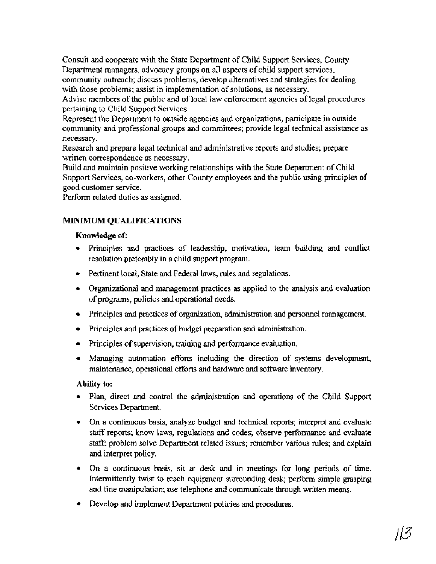Consult and cooperate with the State Department of Child Support Services, County Department managers, advocacy groups on all aspects of child support services, community outreach; discuss problems, develop alternatives and strategies for dealing with those problems; assist in implementation of solutions, **as** necessary.

Advise members of the public and of local law enforcement agencies of legal procedures pertaining to Child Support Services.

Represent the Department to outside agencies and organizations; participate in outside community and professional groups and committees; provide legal technical assistance as necessary.

Research and prepare legal technical and administrative reports and studies; prepare written correspondence as necessary.

Build and maintain positive working relationships with the State Department of Child Support Services, co-workers, other County employees and the public using principles of good customer service.

Perform related duties as assigned.

## MINIMUM **QUALIFICATIONS**

### **Knowledge of:**

- Principles and practices of leadership, motivation, team building and conflict resolution preferably in a child support program.
- Pertinent local, State and Federal laws, rules and regulations.
- Organizational and management practices as applied to the analysis and evaluation of programs, policies **and** operational needs.
- Principles and practices of organization, administration and personnel management.
- Principles and practices of budget preparation and administration.
- Principles of supervision, training and performance evaluation.
- Managing automation efforts including the direction of systems development, maintenance, operational efforts and hardware and software inventory.

## **Ability to:**

- Plan, direct and control **the** administration and operations of the Child Support Services Department.
- On a continuous basis, analyze budget and technical reports; interpret and evaluate staff reports; know laws, regulations **and** codes; observe performance and evaluate staff; problem solve Department related issues; remember various rules; and explain and interpret policy.
- On a continuous basis, sit at desk and in meetings for long periods of time. Intermittently twist to reach equipment surrounding desk; perform simple grasping and fine manipulation; use telephone and communicate through written means.
- Develop and implement Department policies and procedures.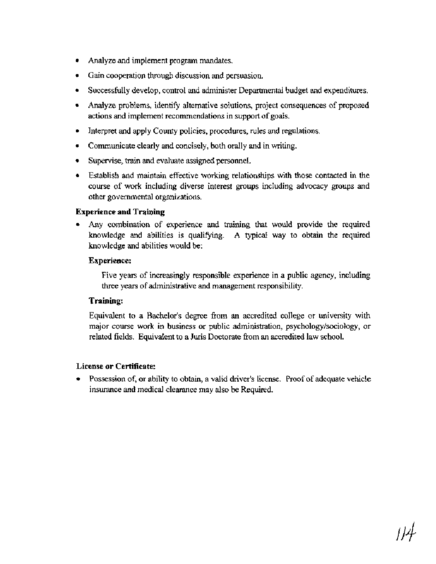- Analyze and implement program mandates.
- Gain cooperation through discussion and persuasion.
- Successfully develop, control and administer Departmental budget and expenditures.
- Analyze problems, identify alternative solutions, project consequences of proposed actions and implement recommendations in support of goals.
- Interpret and apply County policies, procedures, rules and regulations.
- Communicate clearly and concisely, both orally **and** in writing.
- Supervise, **train** and evaluate assigned personnel.
- Establish and maintain effective working relationships with those contacted in the course of work including diverse interest groups including advocacy groups **and**  other governmental organizations.

#### **Experience and Training**

**Any** combination of experience and training that would provide the required knowledge and abilities is qualifying. **A** typical way to obtain the required knowledge and abilities would be:

#### **Experience:**

Five years of increasingly responsible experience in a public agency, including three years of administrative and management responsibility.

#### **Training:**

Equivalent to a Bachelor's degree fiom an accredited college or university with major course work in business or public administration, psychology/sociology, or related fields. Equivalent to a **Juris** Doctorate fiom an accredited law school.

#### **License or Certificate:**

Possession of, or ability to obtain, a valid driver's license. Proof of adequate vehicle insurance and medical clearance may also be Required.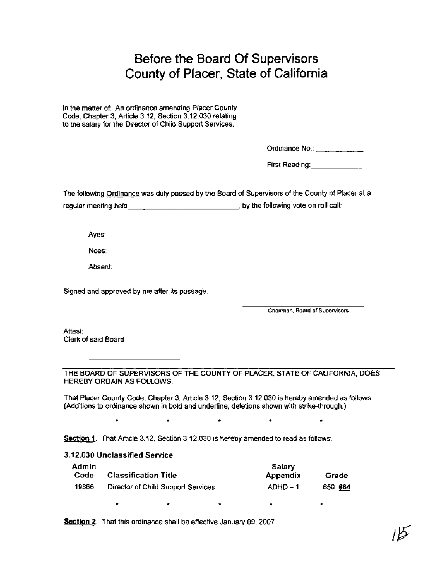# Before the Board Of Supervisors County of Placer, State of California

In the matter of: An ordinance amending Placer County Code, Chapter 3, Article 3.12, Section 3.12.030 relating to the salary for the Director of Child Support Services.

Ordinance  $No.:$   $\ldots$   $\ldots$   $\ldots$   $\ldots$ 

First Reading: **First Reading:** 

The following Ordinance was duly passed by the Board of Supervisors of the County of Placer at a regular meeting held  $\underline{\hspace{1cm}}$   $\underline{\hspace{1cm}}$   $\underline{\hspace{1cm}}$  ,  $\underline{\hspace{1cm}}$  , by the following vote on roll call:

Ayes:

Noes:

Absent:

Signed and approved by me after its passage.

**Chairman, Board of Supervisors** 

Attest: Clerk of said Board

THE BOARD OF SUPERVISORS OF THE COUNTY OF PLACER, STATE OF CALIFORNIA, **DOES**  HEREBY ORDAIN AS FOLLOWS:

That Placer County Code, Chapter 3, Article 3.12, Section 3.12.030 is hereby amended as follows: (Additions to ordinance shown in bold and underline, deletions shown with strike-through.)

 $\bullet$ 

 $\bullet$ 

Section 1. That Article 3.12, Section 3.12.030 is hereby amended to read as follows:

**3.1 2.030** Unclassified Service

| Admin |                                    | Salary   |         |
|-------|------------------------------------|----------|---------|
| Code  | <b>Classification Title</b>        | Appendix | Grade   |
| 19866 | Director of Child Support Services | $ADHD-1$ | 650 664 |

Section 2. That this ordinance shall be effective January 09, 2007.

 $\bullet$ 

 $\bullet$